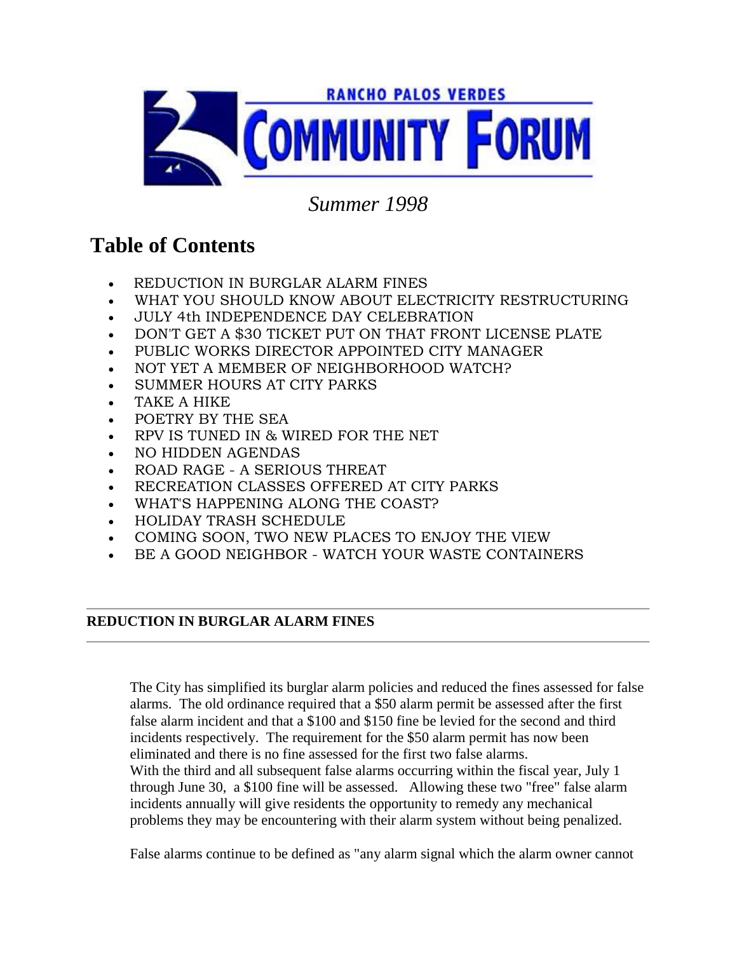

## *Summer 1998*

# **Table of Contents**

- REDUCTION IN BURGLAR ALARM FINES
- WHAT YOU SHOULD KNOW ABOUT ELECTRICITY RESTRUCTURING
- JULY 4th INDEPENDENCE DAY CELEBRATION
- DON'T GET A \$30 TICKET PUT ON THAT FRONT LICENSE PLATE
- PUBLIC WORKS DIRECTOR APPOINTED CITY MANAGER
- NOT YET A MEMBER OF NEIGHBORHOOD WATCH?
- SUMMER HOURS AT CITY PARKS
- TAKE A HIKE
- POETRY BY THE SEA
- RPV IS TUNED IN & WIRED FOR THE NET
- NO HIDDEN AGENDAS
- ROAD RAGE A SERIOUS THREAT
- RECREATION CLASSES OFFERED AT CITY PARKS
- WHAT'S HAPPENING ALONG THE COAST?
- HOLIDAY TRASH SCHEDULE
- COMING SOON, TWO NEW PLACES TO ENJOY THE VIEW
- BE A GOOD NEIGHBOR WATCH YOUR WASTE CONTAINERS

## **REDUCTION IN BURGLAR ALARM FINES**

The City has simplified its burglar alarm policies and reduced the fines assessed for false alarms. The old ordinance required that a \$50 alarm permit be assessed after the first false alarm incident and that a \$100 and \$150 fine be levied for the second and third incidents respectively. The requirement for the \$50 alarm permit has now been eliminated and there is no fine assessed for the first two false alarms. With the third and all subsequent false alarms occurring within the fiscal year, July 1 through June 30, a \$100 fine will be assessed. Allowing these two "free" false alarm incidents annually will give residents the opportunity to remedy any mechanical problems they may be encountering with their alarm system without being penalized.

False alarms continue to be defined as "any alarm signal which the alarm owner cannot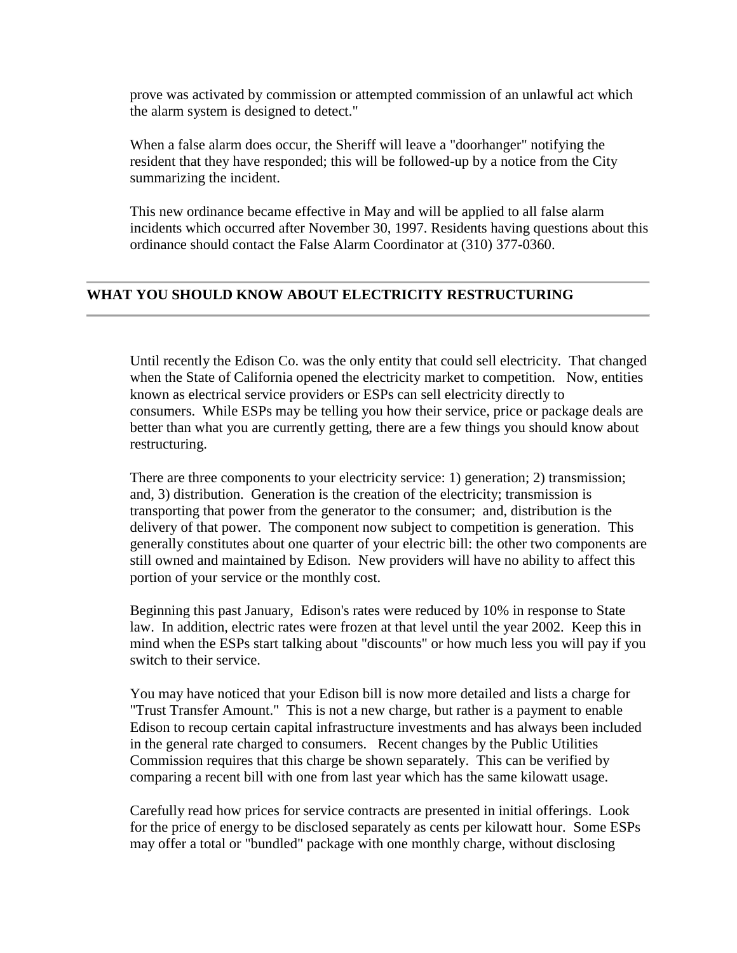prove was activated by commission or attempted commission of an unlawful act which the alarm system is designed to detect."

When a false alarm does occur, the Sheriff will leave a "doorhanger" notifying the resident that they have responded; this will be followed-up by a notice from the City summarizing the incident.

This new ordinance became effective in May and will be applied to all false alarm incidents which occurred after November 30, 1997. Residents having questions about this ordinance should contact the False Alarm Coordinator at (310) 377-0360.

### **WHAT YOU SHOULD KNOW ABOUT ELECTRICITY RESTRUCTURING**

Until recently the Edison Co. was the only entity that could sell electricity. That changed when the State of California opened the electricity market to competition. Now, entities known as electrical service providers or ESPs can sell electricity directly to consumers. While ESPs may be telling you how their service, price or package deals are better than what you are currently getting, there are a few things you should know about restructuring.

There are three components to your electricity service: 1) generation; 2) transmission; and, 3) distribution. Generation is the creation of the electricity; transmission is transporting that power from the generator to the consumer; and, distribution is the delivery of that power. The component now subject to competition is generation. This generally constitutes about one quarter of your electric bill: the other two components are still owned and maintained by Edison. New providers will have no ability to affect this portion of your service or the monthly cost.

Beginning this past January, Edison's rates were reduced by 10% in response to State law. In addition, electric rates were frozen at that level until the year 2002. Keep this in mind when the ESPs start talking about "discounts" or how much less you will pay if you switch to their service.

You may have noticed that your Edison bill is now more detailed and lists a charge for "Trust Transfer Amount." This is not a new charge, but rather is a payment to enable Edison to recoup certain capital infrastructure investments and has always been included in the general rate charged to consumers. Recent changes by the Public Utilities Commission requires that this charge be shown separately. This can be verified by comparing a recent bill with one from last year which has the same kilowatt usage.

Carefully read how prices for service contracts are presented in initial offerings. Look for the price of energy to be disclosed separately as cents per kilowatt hour. Some ESPs may offer a total or "bundled" package with one monthly charge, without disclosing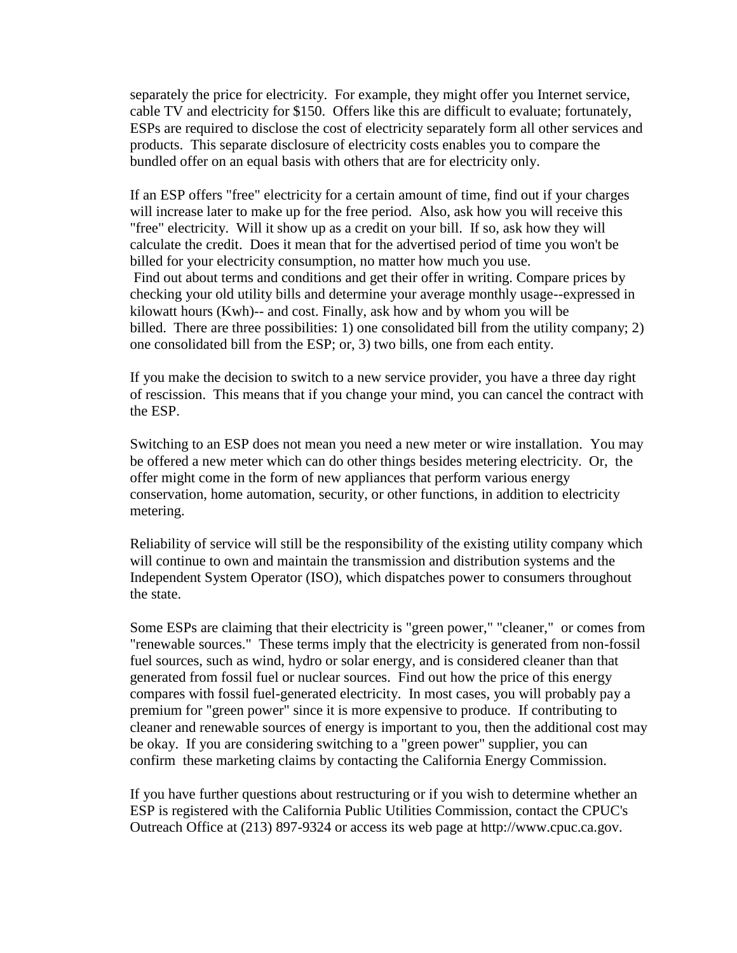separately the price for electricity. For example, they might offer you Internet service, cable TV and electricity for \$150. Offers like this are difficult to evaluate; fortunately, ESPs are required to disclose the cost of electricity separately form all other services and products. This separate disclosure of electricity costs enables you to compare the bundled offer on an equal basis with others that are for electricity only.

If an ESP offers "free" electricity for a certain amount of time, find out if your charges will increase later to make up for the free period. Also, ask how you will receive this "free" electricity. Will it show up as a credit on your bill. If so, ask how they will calculate the credit. Does it mean that for the advertised period of time you won't be billed for your electricity consumption, no matter how much you use. Find out about terms and conditions and get their offer in writing. Compare prices by checking your old utility bills and determine your average monthly usage--expressed in kilowatt hours (Kwh)-- and cost. Finally, ask how and by whom you will be billed. There are three possibilities: 1) one consolidated bill from the utility company; 2) one consolidated bill from the ESP; or, 3) two bills, one from each entity.

If you make the decision to switch to a new service provider, you have a three day right of rescission. This means that if you change your mind, you can cancel the contract with the ESP.

Switching to an ESP does not mean you need a new meter or wire installation. You may be offered a new meter which can do other things besides metering electricity. Or, the offer might come in the form of new appliances that perform various energy conservation, home automation, security, or other functions, in addition to electricity metering.

Reliability of service will still be the responsibility of the existing utility company which will continue to own and maintain the transmission and distribution systems and the Independent System Operator (ISO), which dispatches power to consumers throughout the state.

Some ESPs are claiming that their electricity is "green power," "cleaner," or comes from "renewable sources." These terms imply that the electricity is generated from non-fossil fuel sources, such as wind, hydro or solar energy, and is considered cleaner than that generated from fossil fuel or nuclear sources. Find out how the price of this energy compares with fossil fuel-generated electricity. In most cases, you will probably pay a premium for "green power" since it is more expensive to produce. If contributing to cleaner and renewable sources of energy is important to you, then the additional cost may be okay. If you are considering switching to a "green power" supplier, you can confirm these marketing claims by contacting the California Energy Commission.

If you have further questions about restructuring or if you wish to determine whether an ESP is registered with the California Public Utilities Commission, contact the CPUC's Outreach Office at (213) 897-9324 or access its web page at http://www.cpuc.ca.gov.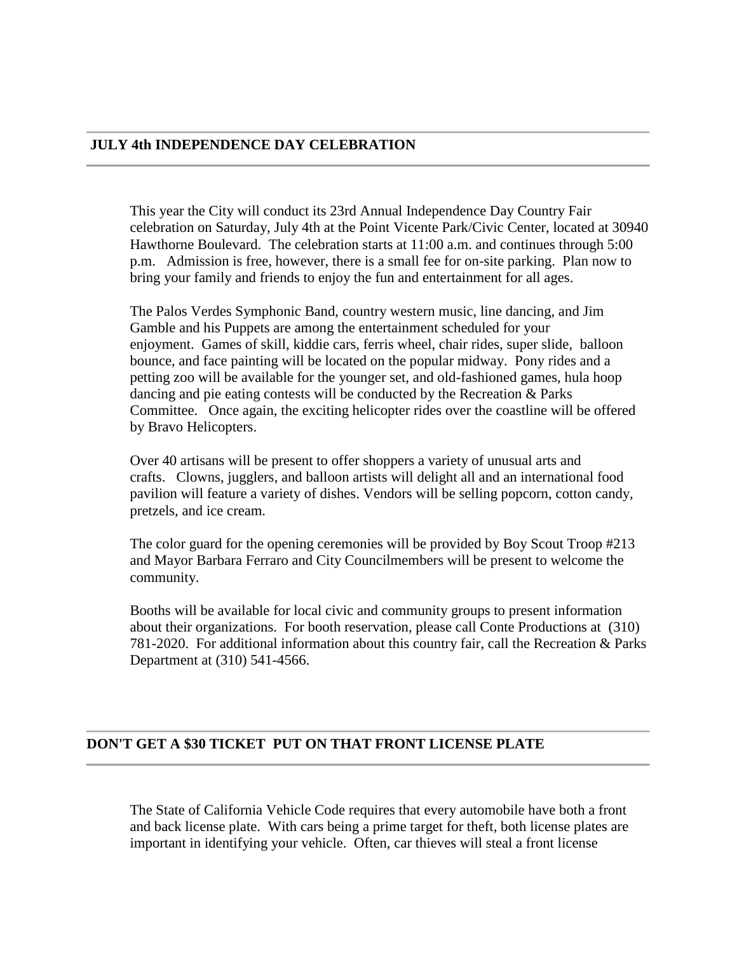#### **JULY 4th INDEPENDENCE DAY CELEBRATION**

This year the City will conduct its 23rd Annual Independence Day Country Fair celebration on Saturday, July 4th at the Point Vicente Park/Civic Center, located at 30940 Hawthorne Boulevard. The celebration starts at 11:00 a.m. and continues through 5:00 p.m. Admission is free, however, there is a small fee for on-site parking. Plan now to bring your family and friends to enjoy the fun and entertainment for all ages.

The Palos Verdes Symphonic Band, country western music, line dancing, and Jim Gamble and his Puppets are among the entertainment scheduled for your enjoyment. Games of skill, kiddie cars, ferris wheel, chair rides, super slide, balloon bounce, and face painting will be located on the popular midway. Pony rides and a petting zoo will be available for the younger set, and old-fashioned games, hula hoop dancing and pie eating contests will be conducted by the Recreation & Parks Committee. Once again, the exciting helicopter rides over the coastline will be offered by Bravo Helicopters.

Over 40 artisans will be present to offer shoppers a variety of unusual arts and crafts. Clowns, jugglers, and balloon artists will delight all and an international food pavilion will feature a variety of dishes. Vendors will be selling popcorn, cotton candy, pretzels, and ice cream.

The color guard for the opening ceremonies will be provided by Boy Scout Troop #213 and Mayor Barbara Ferraro and City Councilmembers will be present to welcome the community.

Booths will be available for local civic and community groups to present information about their organizations. For booth reservation, please call Conte Productions at (310) 781-2020. For additional information about this country fair, call the Recreation & Parks Department at (310) 541-4566.

#### **DON'T GET A \$30 TICKET PUT ON THAT FRONT LICENSE PLATE**

The State of California Vehicle Code requires that every automobile have both a front and back license plate. With cars being a prime target for theft, both license plates are important in identifying your vehicle. Often, car thieves will steal a front license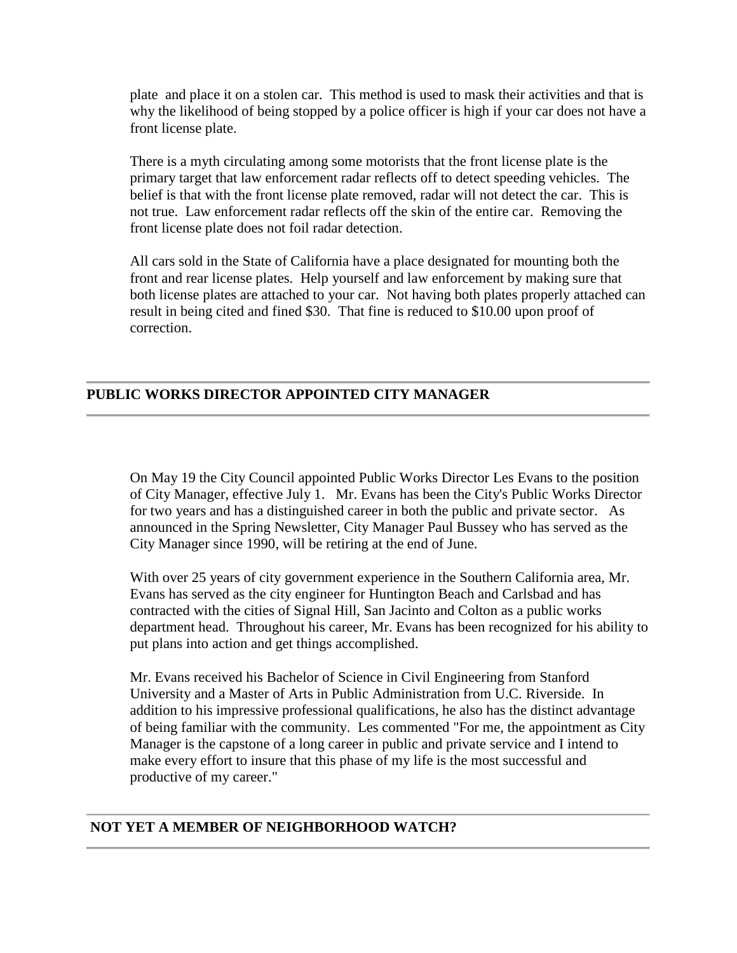plate and place it on a stolen car. This method is used to mask their activities and that is why the likelihood of being stopped by a police officer is high if your car does not have a front license plate.

There is a myth circulating among some motorists that the front license plate is the primary target that law enforcement radar reflects off to detect speeding vehicles. The belief is that with the front license plate removed, radar will not detect the car. This is not true. Law enforcement radar reflects off the skin of the entire car. Removing the front license plate does not foil radar detection.

All cars sold in the State of California have a place designated for mounting both the front and rear license plates. Help yourself and law enforcement by making sure that both license plates are attached to your car. Not having both plates properly attached can result in being cited and fined \$30. That fine is reduced to \$10.00 upon proof of correction.

## **PUBLIC WORKS DIRECTOR APPOINTED CITY MANAGER**

On May 19 the City Council appointed Public Works Director Les Evans to the position of City Manager, effective July 1. Mr. Evans has been the City's Public Works Director for two years and has a distinguished career in both the public and private sector. As announced in the Spring Newsletter, City Manager Paul Bussey who has served as the City Manager since 1990, will be retiring at the end of June.

With over 25 years of city government experience in the Southern California area, Mr. Evans has served as the city engineer for Huntington Beach and Carlsbad and has contracted with the cities of Signal Hill, San Jacinto and Colton as a public works department head. Throughout his career, Mr. Evans has been recognized for his ability to put plans into action and get things accomplished.

Mr. Evans received his Bachelor of Science in Civil Engineering from Stanford University and a Master of Arts in Public Administration from U.C. Riverside. In addition to his impressive professional qualifications, he also has the distinct advantage of being familiar with the community. Les commented "For me, the appointment as City Manager is the capstone of a long career in public and private service and I intend to make every effort to insure that this phase of my life is the most successful and productive of my career."

## **NOT YET A MEMBER OF NEIGHBORHOOD WATCH?**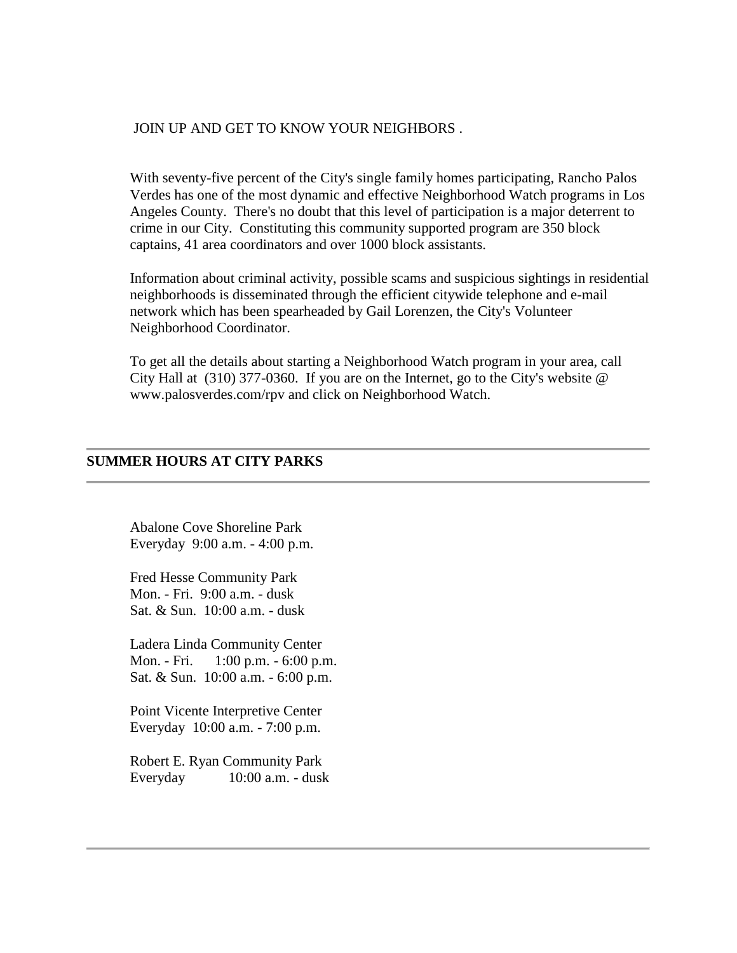#### JOIN UP AND GET TO KNOW YOUR NEIGHBORS .

With seventy-five percent of the City's single family homes participating, Rancho Palos Verdes has one of the most dynamic and effective Neighborhood Watch programs in Los Angeles County. There's no doubt that this level of participation is a major deterrent to crime in our City. Constituting this community supported program are 350 block captains, 41 area coordinators and over 1000 block assistants.

Information about criminal activity, possible scams and suspicious sightings in residential neighborhoods is disseminated through the efficient citywide telephone and e-mail network which has been spearheaded by Gail Lorenzen, the City's Volunteer Neighborhood Coordinator.

To get all the details about starting a Neighborhood Watch program in your area, call City Hall at  $(310)$  377-0360. If you are on the Internet, go to the City's website  $\omega$ www.palosverdes.com/rpv and click on Neighborhood Watch.

#### **SUMMER HOURS AT CITY PARKS**

Abalone Cove Shoreline Park Everyday 9:00 a.m. - 4:00 p.m.

Fred Hesse Community Park Mon. - Fri. 9:00 a.m. - dusk Sat. & Sun. 10:00 a.m. - dusk

Ladera Linda Community Center Mon. - Fri. 1:00 p.m. - 6:00 p.m. Sat. & Sun. 10:00 a.m. - 6:00 p.m.

Point Vicente Interpretive Center Everyday 10:00 a.m. - 7:00 p.m.

Robert E. Ryan Community Park Everyday 10:00 a.m. - dusk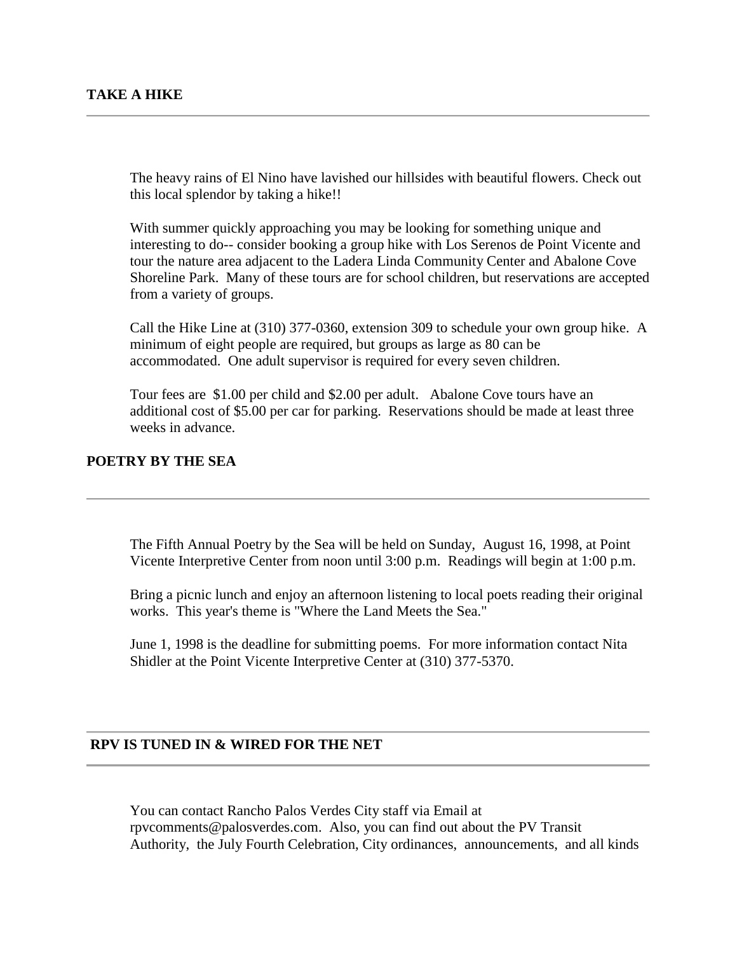The heavy rains of El Nino have lavished our hillsides with beautiful flowers. Check out this local splendor by taking a hike!!

With summer quickly approaching you may be looking for something unique and interesting to do-- consider booking a group hike with Los Serenos de Point Vicente and tour the nature area adjacent to the Ladera Linda Community Center and Abalone Cove Shoreline Park. Many of these tours are for school children, but reservations are accepted from a variety of groups.

Call the Hike Line at (310) 377-0360, extension 309 to schedule your own group hike. A minimum of eight people are required, but groups as large as 80 can be accommodated. One adult supervisor is required for every seven children.

Tour fees are \$1.00 per child and \$2.00 per adult. Abalone Cove tours have an additional cost of \$5.00 per car for parking. Reservations should be made at least three weeks in advance.

#### **POETRY BY THE SEA**

The Fifth Annual Poetry by the Sea will be held on Sunday, August 16, 1998, at Point Vicente Interpretive Center from noon until 3:00 p.m. Readings will begin at 1:00 p.m.

Bring a picnic lunch and enjoy an afternoon listening to local poets reading their original works. This year's theme is "Where the Land Meets the Sea."

June 1, 1998 is the deadline for submitting poems. For more information contact Nita Shidler at the Point Vicente Interpretive Center at (310) 377-5370.

#### **RPV IS TUNED IN & WIRED FOR THE NET**

You can contact Rancho Palos Verdes City staff via Email at rpvcomments@palosverdes.com. Also, you can find out about the PV Transit Authority, the July Fourth Celebration, City ordinances, announcements, and all kinds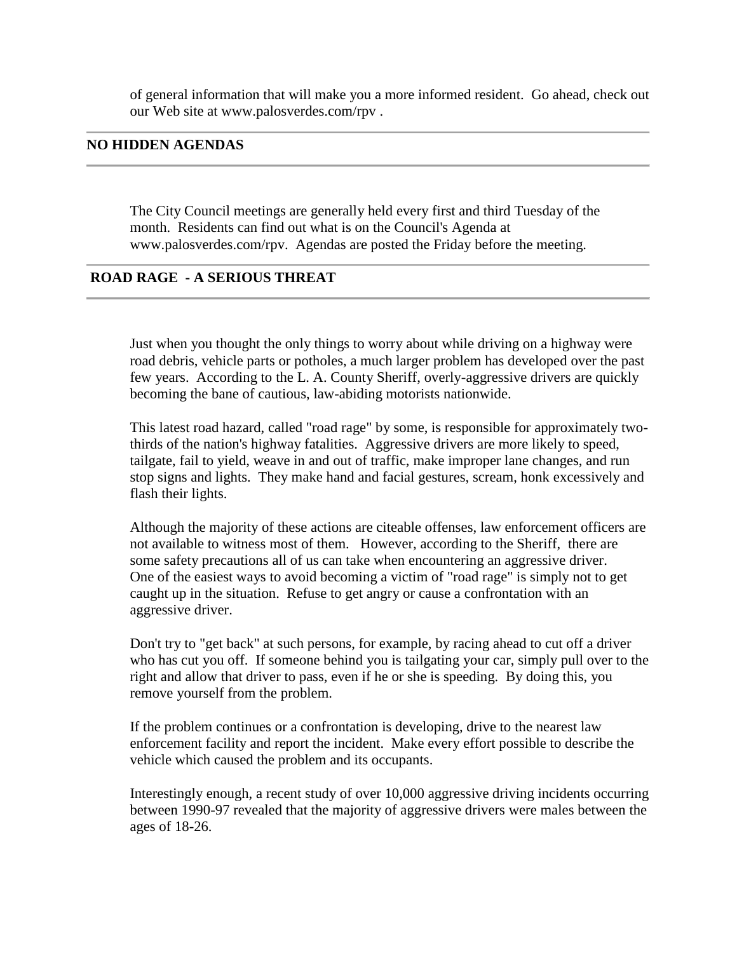of general information that will make you a more informed resident. Go ahead, check out our Web site at www.palosverdes.com/rpv .

#### **NO HIDDEN AGENDAS**

The City Council meetings are generally held every first and third Tuesday of the month. Residents can find out what is on the Council's Agenda at www.palosverdes.com/rpv. Agendas are posted the Friday before the meeting.

### **ROAD RAGE - A SERIOUS THREAT**

Just when you thought the only things to worry about while driving on a highway were road debris, vehicle parts or potholes, a much larger problem has developed over the past few years. According to the L. A. County Sheriff, overly-aggressive drivers are quickly becoming the bane of cautious, law-abiding motorists nationwide.

This latest road hazard, called "road rage" by some, is responsible for approximately twothirds of the nation's highway fatalities. Aggressive drivers are more likely to speed, tailgate, fail to yield, weave in and out of traffic, make improper lane changes, and run stop signs and lights. They make hand and facial gestures, scream, honk excessively and flash their lights.

Although the majority of these actions are citeable offenses, law enforcement officers are not available to witness most of them. However, according to the Sheriff, there are some safety precautions all of us can take when encountering an aggressive driver. One of the easiest ways to avoid becoming a victim of "road rage" is simply not to get caught up in the situation. Refuse to get angry or cause a confrontation with an aggressive driver.

Don't try to "get back" at such persons, for example, by racing ahead to cut off a driver who has cut you off. If someone behind you is tailgating your car, simply pull over to the right and allow that driver to pass, even if he or she is speeding. By doing this, you remove yourself from the problem.

If the problem continues or a confrontation is developing, drive to the nearest law enforcement facility and report the incident. Make every effort possible to describe the vehicle which caused the problem and its occupants.

Interestingly enough, a recent study of over 10,000 aggressive driving incidents occurring between 1990-97 revealed that the majority of aggressive drivers were males between the ages of 18-26.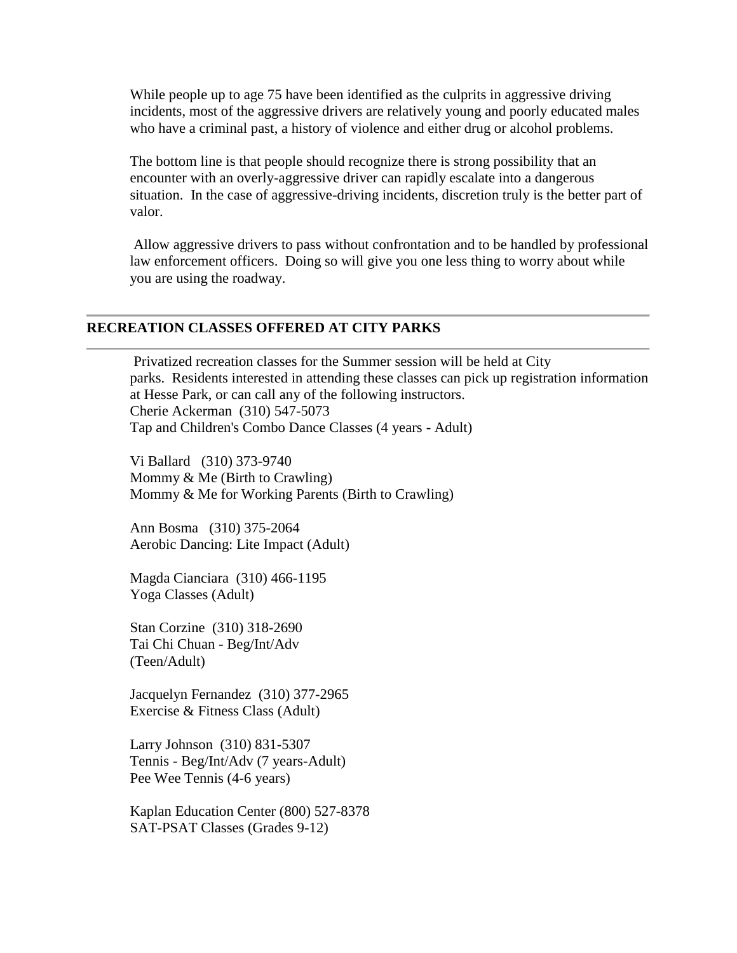While people up to age 75 have been identified as the culprits in aggressive driving incidents, most of the aggressive drivers are relatively young and poorly educated males who have a criminal past, a history of violence and either drug or alcohol problems.

The bottom line is that people should recognize there is strong possibility that an encounter with an overly-aggressive driver can rapidly escalate into a dangerous situation. In the case of aggressive-driving incidents, discretion truly is the better part of valor.

Allow aggressive drivers to pass without confrontation and to be handled by professional law enforcement officers. Doing so will give you one less thing to worry about while you are using the roadway.

#### **RECREATION CLASSES OFFERED AT CITY PARKS**

Privatized recreation classes for the Summer session will be held at City parks. Residents interested in attending these classes can pick up registration information at Hesse Park, or can call any of the following instructors. Cherie Ackerman (310) 547-5073 Tap and Children's Combo Dance Classes (4 years - Adult)

Vi Ballard (310) 373-9740 Mommy & Me (Birth to Crawling) Mommy & Me for Working Parents (Birth to Crawling)

Ann Bosma (310) 375-2064 Aerobic Dancing: Lite Impact (Adult)

Magda Cianciara (310) 466-1195 Yoga Classes (Adult)

Stan Corzine (310) 318-2690 Tai Chi Chuan - Beg/Int/Adv (Teen/Adult)

Jacquelyn Fernandez (310) 377-2965 Exercise & Fitness Class (Adult)

Larry Johnson (310) 831-5307 Tennis - Beg/Int/Adv (7 years-Adult) Pee Wee Tennis (4-6 years)

Kaplan Education Center (800) 527-8378 SAT-PSAT Classes (Grades 9-12)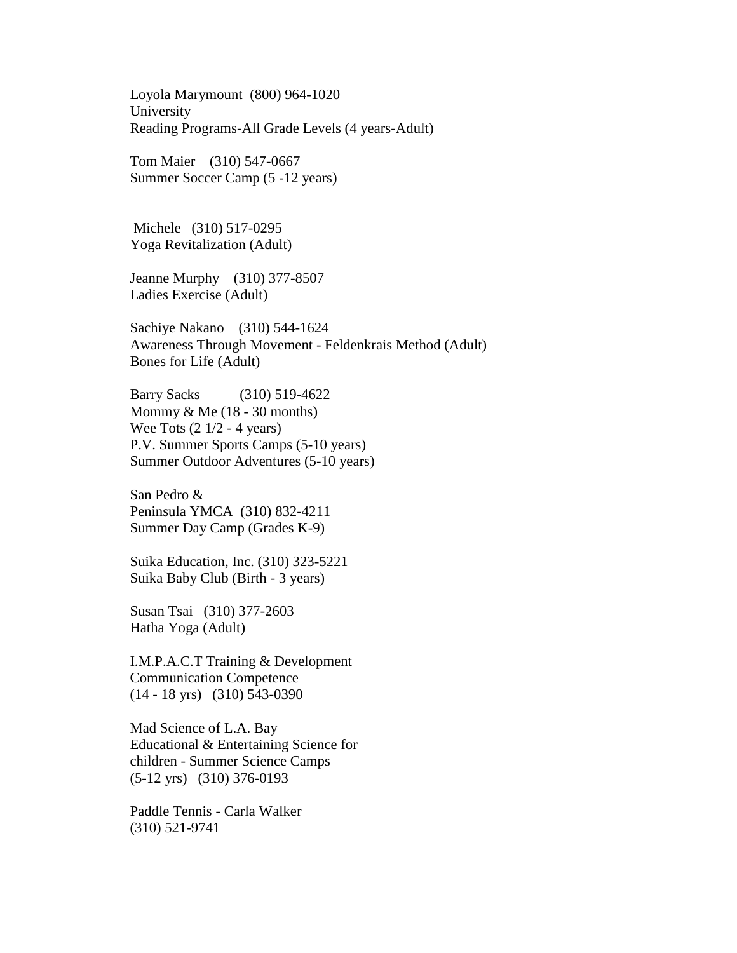Loyola Marymount (800) 964-1020 University Reading Programs-All Grade Levels (4 years-Adult)

Tom Maier (310) 547-0667 Summer Soccer Camp (5 -12 years)

Michele (310) 517-0295 Yoga Revitalization (Adult)

Jeanne Murphy (310) 377-8507 Ladies Exercise (Adult)

Sachiye Nakano (310) 544-1624 Awareness Through Movement - Feldenkrais Method (Adult) Bones for Life (Adult)

Barry Sacks (310) 519-4622 Mommy  $&$  Me (18 - 30 months) Wee Tots  $(2 \frac{1}{2} - 4 \text{ years})$ P.V. Summer Sports Camps (5-10 years) Summer Outdoor Adventures (5-10 years)

San Pedro & Peninsula YMCA (310) 832-4211 Summer Day Camp (Grades K-9)

Suika Education, Inc. (310) 323-5221 Suika Baby Club (Birth - 3 years)

Susan Tsai (310) 377-2603 Hatha Yoga (Adult)

I.M.P.A.C.T Training & Development Communication Competence (14 - 18 yrs) (310) 543-0390

Mad Science of L.A. Bay Educational & Entertaining Science for children - Summer Science Camps (5-12 yrs) (310) 376-0193

Paddle Tennis - Carla Walker (310) 521-9741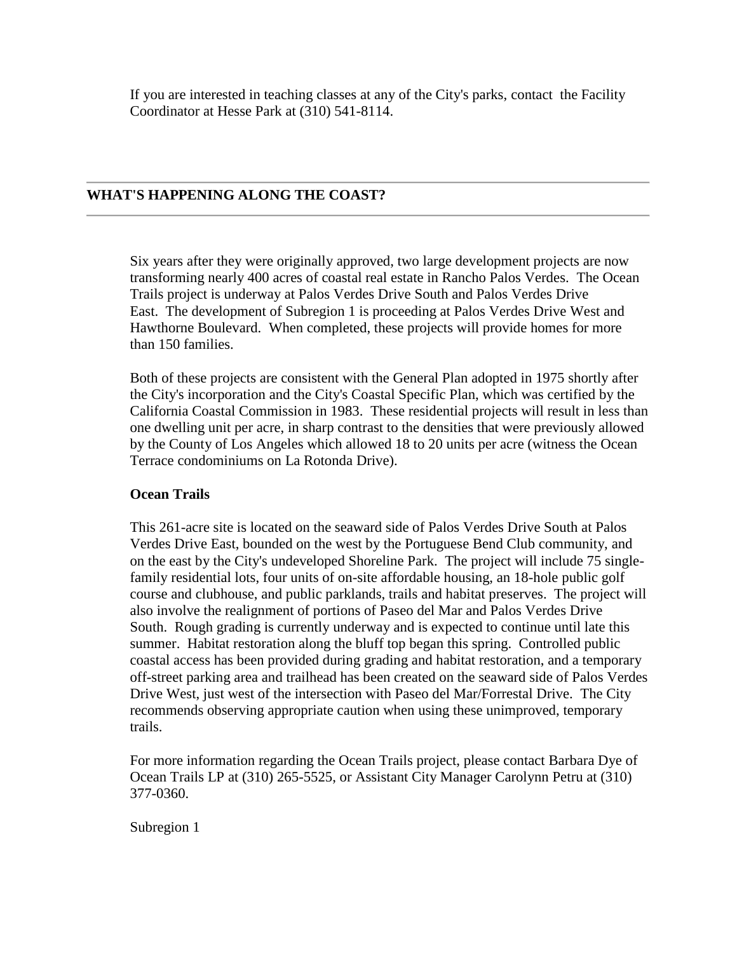If you are interested in teaching classes at any of the City's parks, contact the Facility Coordinator at Hesse Park at (310) 541-8114.

### **WHAT'S HAPPENING ALONG THE COAST?**

Six years after they were originally approved, two large development projects are now transforming nearly 400 acres of coastal real estate in Rancho Palos Verdes. The Ocean Trails project is underway at Palos Verdes Drive South and Palos Verdes Drive East. The development of Subregion 1 is proceeding at Palos Verdes Drive West and Hawthorne Boulevard. When completed, these projects will provide homes for more than 150 families.

Both of these projects are consistent with the General Plan adopted in 1975 shortly after the City's incorporation and the City's Coastal Specific Plan, which was certified by the California Coastal Commission in 1983. These residential projects will result in less than one dwelling unit per acre, in sharp contrast to the densities that were previously allowed by the County of Los Angeles which allowed 18 to 20 units per acre (witness the Ocean Terrace condominiums on La Rotonda Drive).

#### **Ocean Trails**

This 261-acre site is located on the seaward side of Palos Verdes Drive South at Palos Verdes Drive East, bounded on the west by the Portuguese Bend Club community, and on the east by the City's undeveloped Shoreline Park. The project will include 75 singlefamily residential lots, four units of on-site affordable housing, an 18-hole public golf course and clubhouse, and public parklands, trails and habitat preserves. The project will also involve the realignment of portions of Paseo del Mar and Palos Verdes Drive South. Rough grading is currently underway and is expected to continue until late this summer. Habitat restoration along the bluff top began this spring. Controlled public coastal access has been provided during grading and habitat restoration, and a temporary off-street parking area and trailhead has been created on the seaward side of Palos Verdes Drive West, just west of the intersection with Paseo del Mar/Forrestal Drive. The City recommends observing appropriate caution when using these unimproved, temporary trails.

For more information regarding the Ocean Trails project, please contact Barbara Dye of Ocean Trails LP at (310) 265-5525, or Assistant City Manager Carolynn Petru at (310) 377-0360.

Subregion 1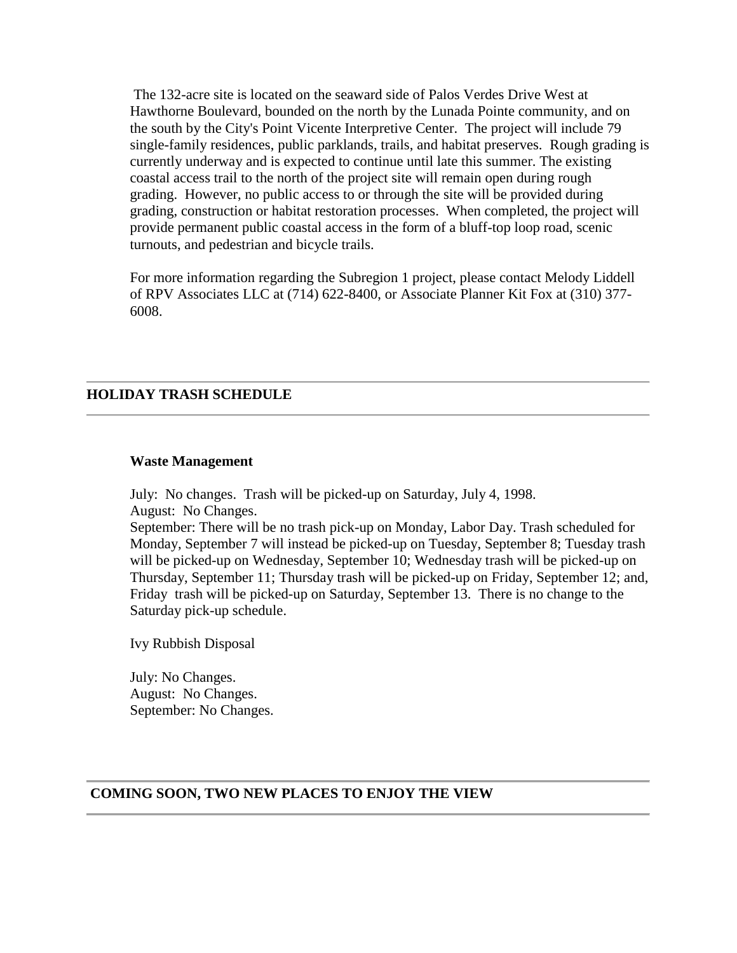The 132-acre site is located on the seaward side of Palos Verdes Drive West at Hawthorne Boulevard, bounded on the north by the Lunada Pointe community, and on the south by the City's Point Vicente Interpretive Center. The project will include 79 single-family residences, public parklands, trails, and habitat preserves. Rough grading is currently underway and is expected to continue until late this summer. The existing coastal access trail to the north of the project site will remain open during rough grading. However, no public access to or through the site will be provided during grading, construction or habitat restoration processes. When completed, the project will provide permanent public coastal access in the form of a bluff-top loop road, scenic turnouts, and pedestrian and bicycle trails.

For more information regarding the Subregion 1 project, please contact Melody Liddell of RPV Associates LLC at (714) 622-8400, or Associate Planner Kit Fox at (310) 377- 6008.

#### **HOLIDAY TRASH SCHEDULE**

#### **Waste Management**

July: No changes. Trash will be picked-up on Saturday, July 4, 1998. August: No Changes.

September: There will be no trash pick-up on Monday, Labor Day. Trash scheduled for Monday, September 7 will instead be picked-up on Tuesday, September 8; Tuesday trash will be picked-up on Wednesday, September 10; Wednesday trash will be picked-up on Thursday, September 11; Thursday trash will be picked-up on Friday, September 12; and, Friday trash will be picked-up on Saturday, September 13. There is no change to the Saturday pick-up schedule.

Ivy Rubbish Disposal

July: No Changes. August: No Changes. September: No Changes.

#### **COMING SOON, TWO NEW PLACES TO ENJOY THE VIEW**